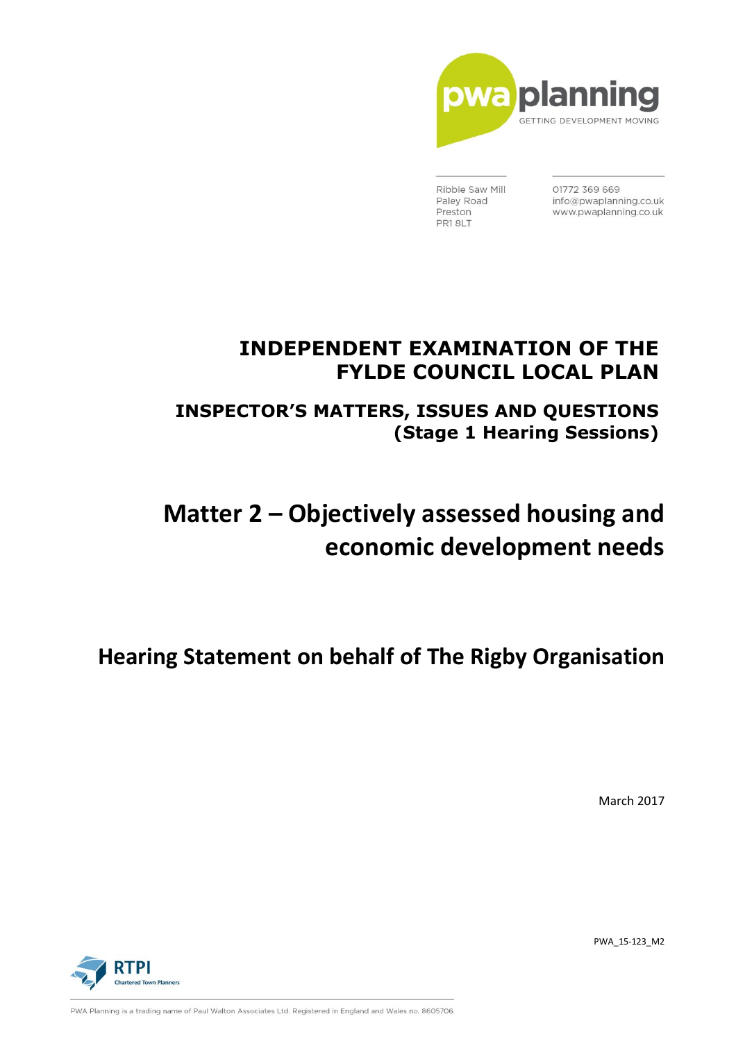

Ribble Saw Mill Paley Road Preston PR18LT

01772 369 669 info@pwaplanning.co.uk www.pwaplanning.co.uk

# **INDEPENDENT EXAMINATION OF THE FYLDE COUNCIL LOCAL PLAN**

**INSPECTOR'S MATTERS, ISSUES AND QUESTIONS (Stage 1 Hearing Sessions)**

# **Matter 2 – Objectively assessed housing and economic development needs**

**Hearing Statement on behalf of The Rigby Organisation**

March 2017





PWA Planning is a trading name of Paul Walton Associates Ltd. Registered in England and Wales no. 8605706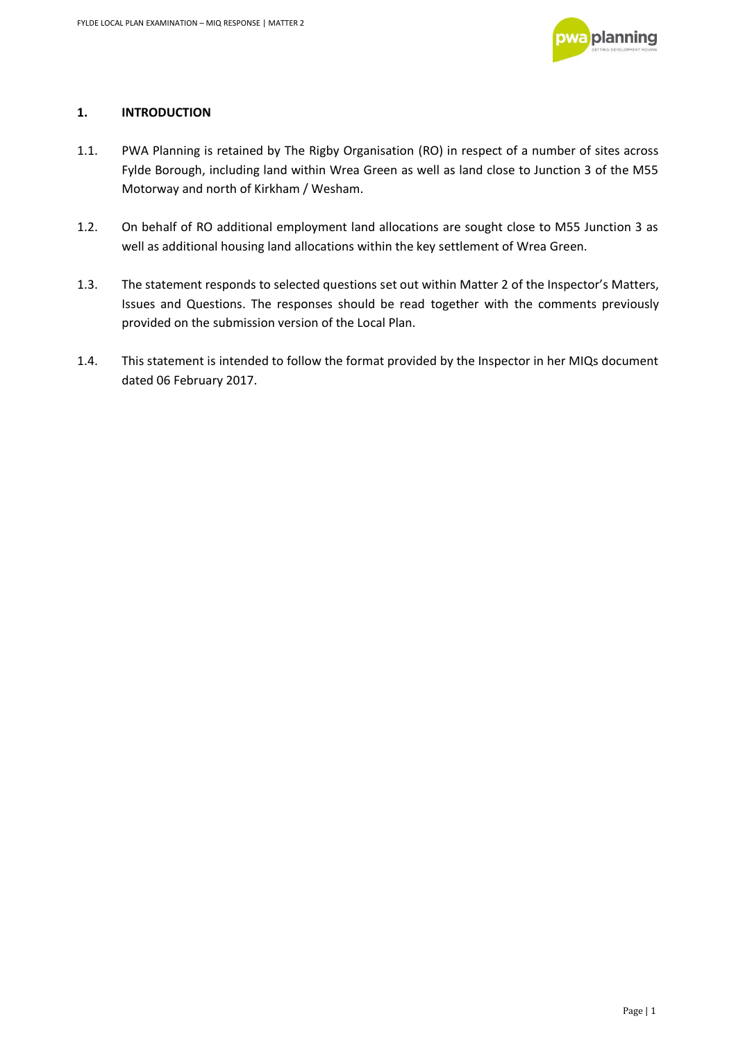

# **1. INTRODUCTION**

- 1.1. PWA Planning is retained by The Rigby Organisation (RO) in respect of a number of sites across Fylde Borough, including land within Wrea Green as well as land close to Junction 3 of the M55 Motorway and north of Kirkham / Wesham.
- 1.2. On behalf of RO additional employment land allocations are sought close to M55 Junction 3 as well as additional housing land allocations within the key settlement of Wrea Green.
- 1.3. The statement responds to selected questions set out within Matter 2 of the Inspector's Matters, Issues and Questions. The responses should be read together with the comments previously provided on the submission version of the Local Plan.
- 1.4. This statement is intended to follow the format provided by the Inspector in her MIQs document dated 06 February 2017.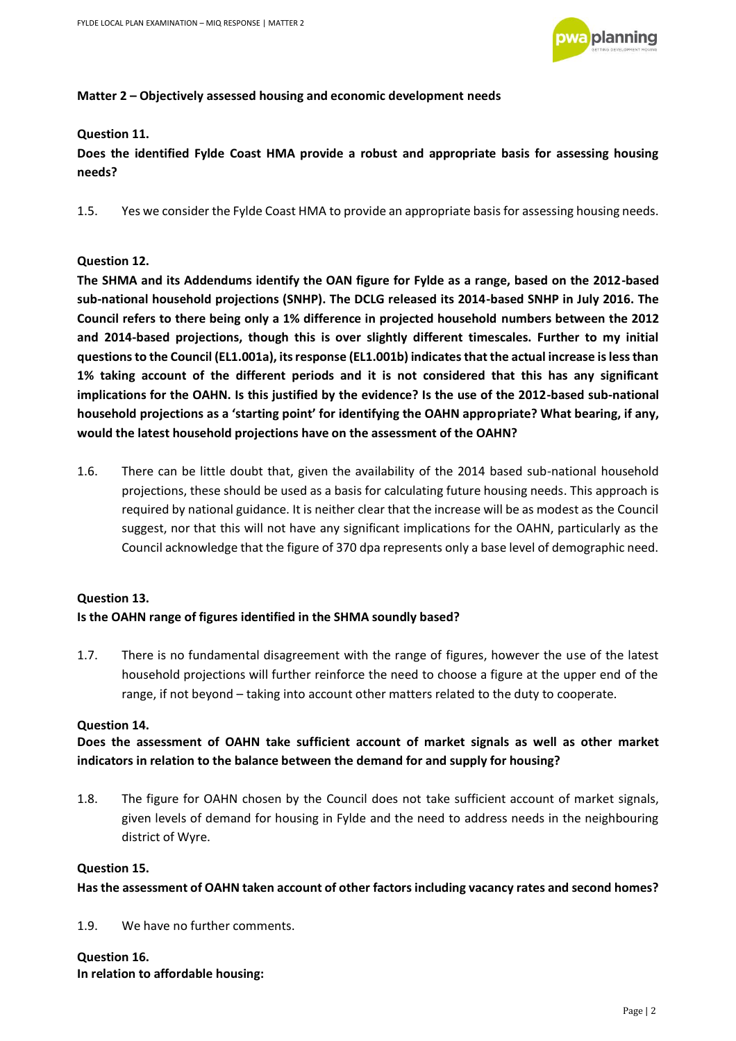

#### **Matter 2 – Objectively assessed housing and economic development needs**

#### **Question 11.**

**Does the identified Fylde Coast HMA provide a robust and appropriate basis for assessing housing needs?** 

1.5. Yes we consider the Fylde Coast HMA to provide an appropriate basis for assessing housing needs.

#### **Question 12.**

**The SHMA and its Addendums identify the OAN figure for Fylde as a range, based on the 2012-based sub-national household projections (SNHP). The DCLG released its 2014-based SNHP in July 2016. The Council refers to there being only a 1% difference in projected household numbers between the 2012 and 2014-based projections, though this is over slightly different timescales. Further to my initial questions to the Council (EL1.001a), its response (EL1.001b) indicates that the actual increase is less than 1% taking account of the different periods and it is not considered that this has any significant implications for the OAHN. Is this justified by the evidence? Is the use of the 2012-based sub-national household projections as a 'starting point' for identifying the OAHN appropriate? What bearing, if any, would the latest household projections have on the assessment of the OAHN?**

1.6. There can be little doubt that, given the availability of the 2014 based sub-national household projections, these should be used as a basis for calculating future housing needs. This approach is required by national guidance. It is neither clear that the increase will be as modest as the Council suggest, nor that this will not have any significant implications for the OAHN, particularly as the Council acknowledge that the figure of 370 dpa represents only a base level of demographic need.

# **Question 13.**

# **Is the OAHN range of figures identified in the SHMA soundly based?**

1.7. There is no fundamental disagreement with the range of figures, however the use of the latest household projections will further reinforce the need to choose a figure at the upper end of the range, if not beyond – taking into account other matters related to the duty to cooperate.

#### **Question 14.**

**Does the assessment of OAHN take sufficient account of market signals as well as other market indicators in relation to the balance between the demand for and supply for housing?** 

1.8. The figure for OAHN chosen by the Council does not take sufficient account of market signals, given levels of demand for housing in Fylde and the need to address needs in the neighbouring district of Wyre.

#### **Question 15.**

#### **Has the assessment of OAHN taken account of other factors including vacancy rates and second homes?**

1.9. We have no further comments.

#### **Question 16.**

**In relation to affordable housing:**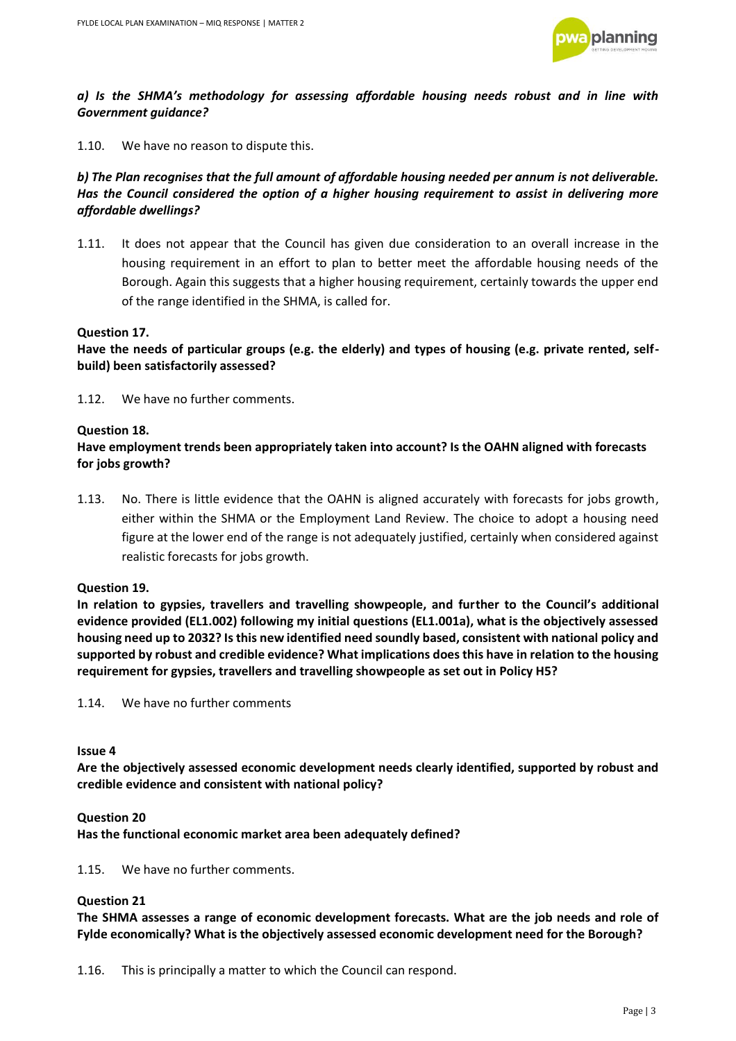

### *a) Is the SHMA's methodology for assessing affordable housing needs robust and in line with Government guidance?*

1.10. We have no reason to dispute this.

# *b) The Plan recognises that the full amount of affordable housing needed per annum is not deliverable. Has the Council considered the option of a higher housing requirement to assist in delivering more affordable dwellings?*

1.11. It does not appear that the Council has given due consideration to an overall increase in the housing requirement in an effort to plan to better meet the affordable housing needs of the Borough. Again this suggests that a higher housing requirement, certainly towards the upper end of the range identified in the SHMA, is called for.

#### **Question 17.**

**Have the needs of particular groups (e.g. the elderly) and types of housing (e.g. private rented, selfbuild) been satisfactorily assessed?** 

1.12. We have no further comments.

#### **Question 18.**

## **Have employment trends been appropriately taken into account? Is the OAHN aligned with forecasts for jobs growth?**

1.13. No. There is little evidence that the OAHN is aligned accurately with forecasts for jobs growth, either within the SHMA or the Employment Land Review. The choice to adopt a housing need figure at the lower end of the range is not adequately justified, certainly when considered against realistic forecasts for jobs growth.

#### **Question 19.**

**In relation to gypsies, travellers and travelling showpeople, and further to the Council's additional evidence provided (EL1.002) following my initial questions (EL1.001a), what is the objectively assessed housing need up to 2032? Is this new identified need soundly based, consistent with national policy and supported by robust and credible evidence? What implications does this have in relation to the housing requirement for gypsies, travellers and travelling showpeople as set out in Policy H5?** 

1.14. We have no further comments

#### **Issue 4**

**Are the objectively assessed economic development needs clearly identified, supported by robust and credible evidence and consistent with national policy?** 

#### **Question 20**

**Has the functional economic market area been adequately defined?** 

1.15. We have no further comments.

#### **Question 21**

**The SHMA assesses a range of economic development forecasts. What are the job needs and role of Fylde economically? What is the objectively assessed economic development need for the Borough?** 

1.16. This is principally a matter to which the Council can respond.